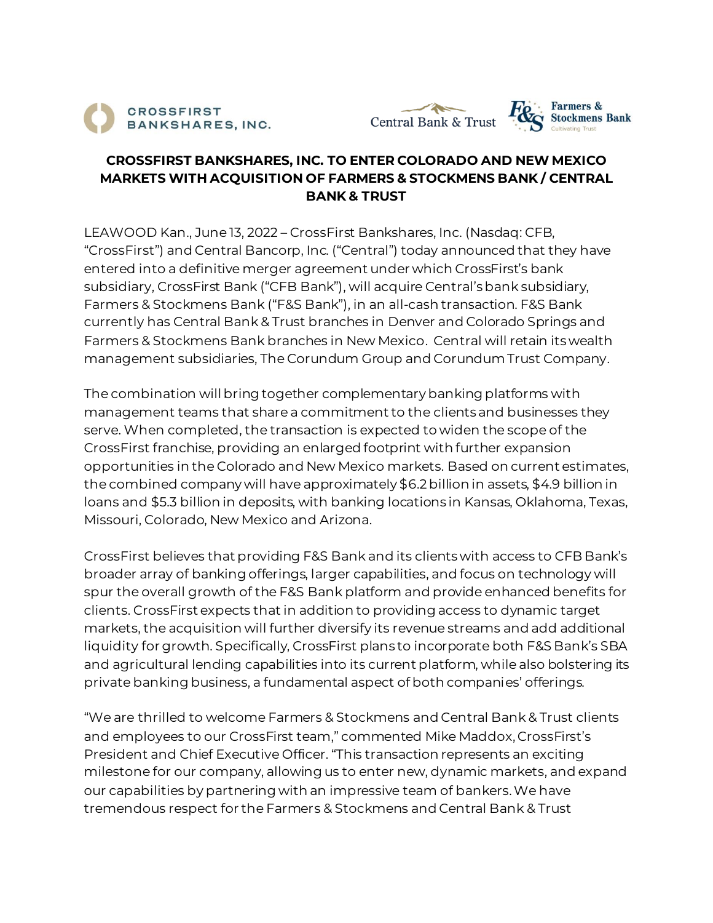





## **CROSSFIRST BANKSHARES, INC. TO ENTER COLORADO AND NEW MEXICO MARKETS WITH ACQUISITION OF FARMERS & STOCKMENS BANK / CENTRAL BANK & TRUST**

LEAWOOD Kan., June 13, 2022 – CrossFirst Bankshares, Inc. (Nasdaq: CFB, "CrossFirst") and Central Bancorp, Inc. ("Central") today announced that they have entered into a definitive merger agreement under which CrossFirst's bank subsidiary, CrossFirst Bank ("CFB Bank"), will acquire Central's bank subsidiary, Farmers & Stockmens Bank ("F&S Bank"), in an all-cash transaction. F&S Bank currently has Central Bank & Trust branches in Denver and Colorado Springs and Farmers & Stockmens Bank branches in New Mexico. Central will retain its wealth management subsidiaries, The Corundum Group and Corundum Trust Company.

The combination will bring together complementary banking platforms with management teams that share a commitment to the clients and businesses they serve. When completed, the transaction is expected to widen the scope of the CrossFirst franchise, providing an enlarged footprint with further expansion opportunities in the Colorado and New Mexico markets. Based on current estimates, the combined company will have approximately \$6.2 billion in assets, \$4.9 billion in loans and \$5.3 billion in deposits, with banking locations in Kansas, Oklahoma, Texas, Missouri, Colorado, New Mexico and Arizona.

CrossFirst believes that providing F&S Bank and its clients with access to CFB Bank's broader array of banking offerings, larger capabilities, and focus on technology will spur the overall growth of the F&S Bank platform and provide enhanced benefits for clients. CrossFirst expects that in addition to providing access to dynamic target markets, the acquisition will further diversify its revenue streams and add additional liquidity for growth. Specifically, CrossFirst plans to incorporate both F&S Bank's SBA and agricultural lending capabilities into its current platform, while also bolstering its private banking business, a fundamental aspect of both companies' offerings.

"We are thrilled to welcome Farmers & Stockmens and Central Bank & Trust clients and employees to our CrossFirst team," commented Mike Maddox, CrossFirst's President and Chief Executive Officer. "This transaction represents an exciting milestone for our company, allowing us to enter new, dynamic markets, and expand our capabilities by partnering with an impressive team of bankers. We have tremendous respect for the Farmers & Stockmens and Central Bank & Trust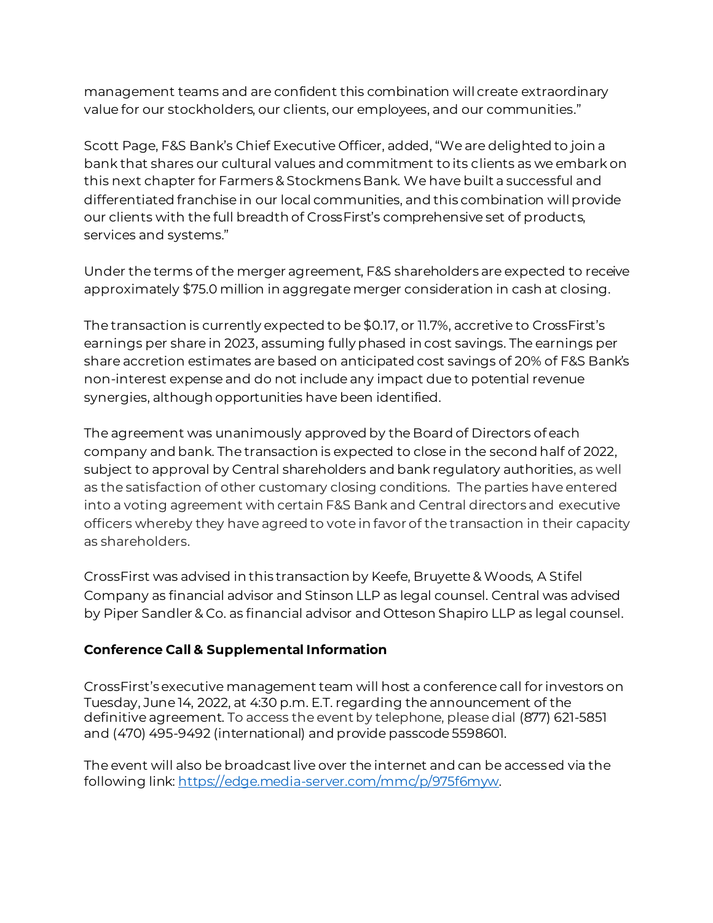management teams and are confident this combination will create extraordinary value for our stockholders, our clients, our employees, and our communities."

Scott Page, F&S Bank's Chief Executive Officer, added, "We are delighted to join a bank that shares our cultural values and commitment to its clients as we embark on this next chapter for Farmers & Stockmens Bank. We have built a successful and differentiated franchise in our local communities, and this combination will provide our clients with the full breadth of CrossFirst's comprehensive set of products, services and systems."

Under the terms of the merger agreement, F&S shareholders are expected to receive approximately \$75.0 million in aggregate merger consideration in cash at closing.

The transaction is currently expected to be \$0.17, or 11.7%, accretive to CrossFirst's earnings per share in 2023, assuming fully phased in cost savings. The earnings per share accretion estimates are based on anticipated cost savings of 20% of F&S Bank's non-interest expense and do not include any impact due to potential revenue synergies, although opportunities have been identified.

The agreement was unanimously approved by the Board of Directors of each company and bank. The transaction is expected to close in the second half of 2022, subject to approval by Central shareholders and bank regulatory authorities, as well as the satisfaction of other customary closing conditions. The parties have entered into a voting agreement with certain F&S Bank and Central directors and executive officers whereby they have agreed to vote in favor of the transaction in their capacity as shareholders.

CrossFirst was advised in this transaction by Keefe, Bruyette & Woods, A Stifel Company as financial advisor and Stinson LLP as legal counsel. Central was advised by Piper Sandler & Co. as financial advisor and Otteson Shapiro LLP as legal counsel.

# **Conference Call & Supplemental Information**

CrossFirst's executive management team will host a conference call for investors on Tuesday, June 14, 2022, at 4:30 p.m. E.T. regarding the announcement of the definitive agreement. To access the event by telephone, please dial (877) 621-5851 and (470) 495-9492 (international) and provide passcode 5598601.

The event will also be broadcast live over the internet and can be accessed via the following link: [https://edge.media-server.com/mmc/p/975f6myw](https://protect-us.mimecast.com/s/UmHfCqxonNsOxL7RCqhuZU?domain=edge.media-server.com).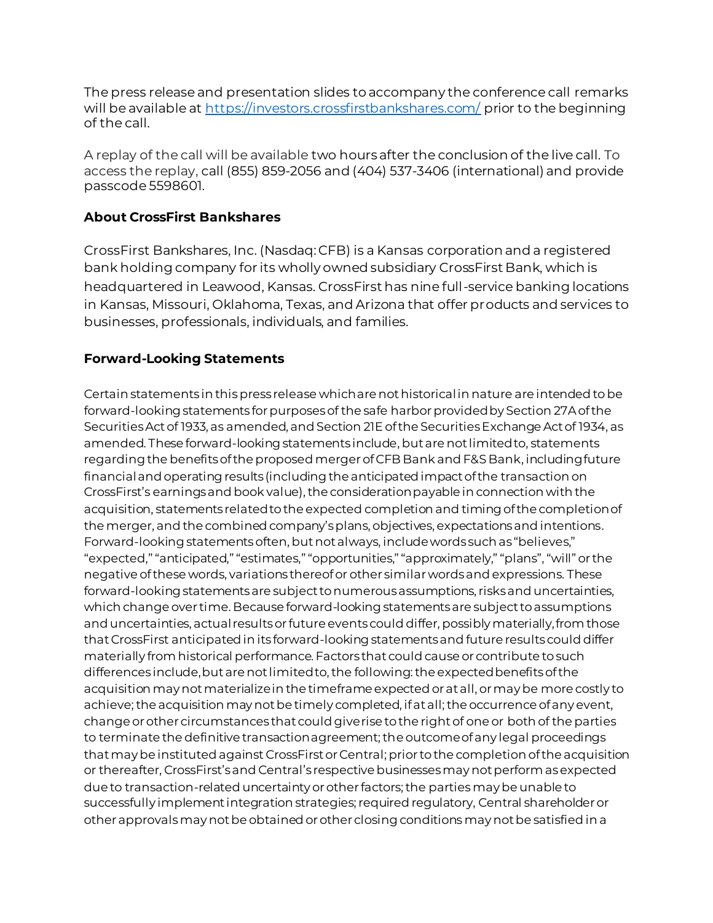The press release and presentation slides to accompany the conference call remarks will be available at <https://investors.crossfirstbankshares.com/> prior to the beginning of the call.

A replay of the call will be available two hours after the conclusion of the live call. To access the replay, call (855) 859-2056 and (404) 537-3406 (international) and provide passcode 5598601.

### **About CrossFirst Bankshares**

CrossFirst Bankshares, Inc. (Nasdaq: CFB) is a Kansas corporation and a registered bank holding company for its wholly owned subsidiary CrossFirst Bank, which is headquartered in Leawood, Kansas. CrossFirst has nine full-service banking locations in Kansas, Missouri, Oklahoma, Texas, and Arizona that offer products and services to businesses, professionals, individuals, and families.

### **Forward-Looking Statements**

Certain statements in this press release which are not historical in nature are intended to be forward-looking statements for purposes of the safe harbor provided by Section 27A of the Securities Act of 1933, as amended, and Section 21E of the Securities Exchange Act of 1934, as amended. These forward-looking statements include, but are not limited to, statements regarding the benefits of the proposedmerger of CFB Bank and F&S Bank, including future financial and operating results (including the anticipated impact of the transaction on CrossFirst's earnings and book value), the consideration payable in connection with the acquisition, statements related to the expected completion and timing of the completion of the merger, and the combined company's plans, objectives, expectations and intentions. Forward-looking statements often, but not always, include words such as "believes," "expected," "anticipated," "estimates," "opportunities," "approximately," "plans", "will" or the negative of these words, variations thereof or other similar words and expressions. These forward-looking statements are subject to numerous assumptions, risks and uncertainties, which change over time. Because forward-looking statements are subject to assumptions and uncertainties, actual results or future events could differ, possibly materially, from those that CrossFirst anticipated in its forward-looking statements and future results could differ materially from historical performance. Factors that could cause or contribute to such differences include, but are not limited to, the following: the expected benefits of the acquisition may not materialize in the timeframe expected or at all, or may be more costly to achieve; the acquisition may not be timely completed, if at all; the occurrence of any event, change or other circumstances that could give rise to the right of one or both of the parties to terminate the definitive transaction agreement; the outcome of any legal proceedings that may be instituted against CrossFirstor Central; prior to the completion of the acquisition or thereafter, CrossFirst's and Central's respective businesses may not perform as expected due to transaction-related uncertainty or other factors; the parties may be unable to successfully implement integration strategies; required regulatory, Central shareholder or other approvals may not be obtained or other closing conditions may not be satisfied in a